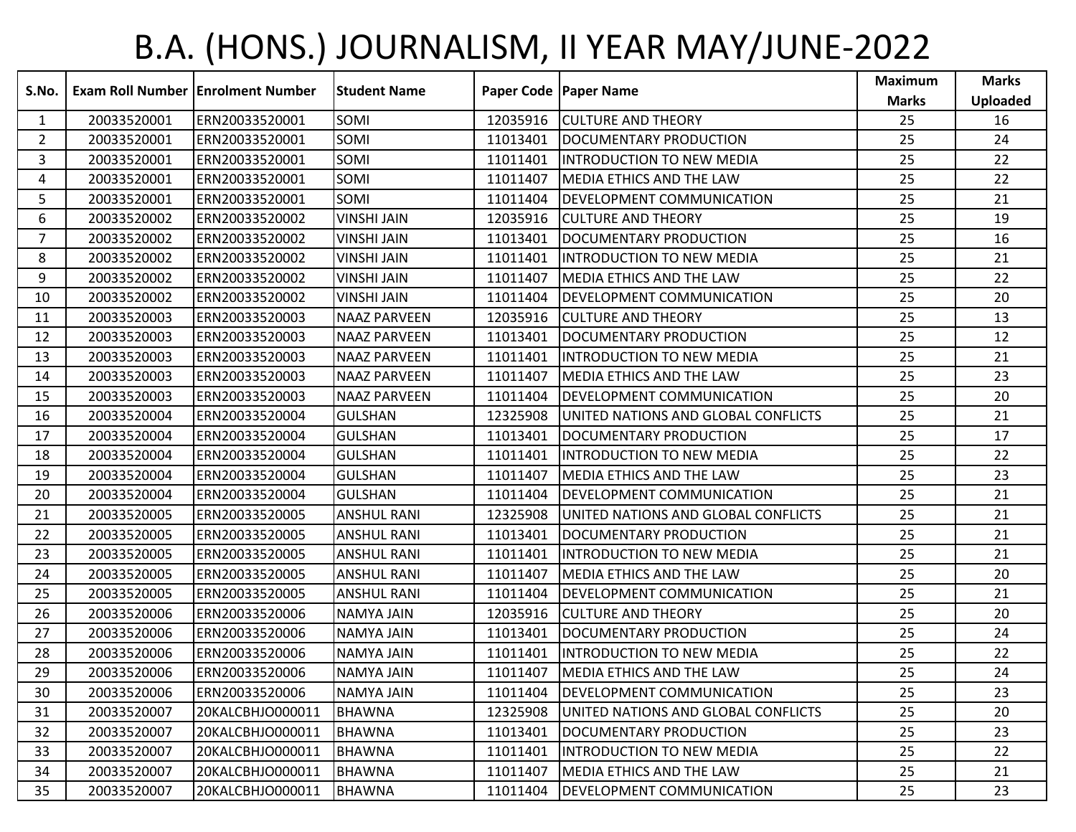## B.A. (HONS.) JOURNALISM, II YEAR MAY/JUNE-2022

| S.No.          |             | <b>Exam Roll Number   Enrolment Number</b> | lStudent Name       |          | Paper Code   Paper Name             | <b>Maximum</b><br><b>Marks</b> | <b>Marks</b><br><b>Uploaded</b> |
|----------------|-------------|--------------------------------------------|---------------------|----------|-------------------------------------|--------------------------------|---------------------------------|
| 1              | 20033520001 | ERN20033520001                             | SOMI                | 12035916 | <b>CULTURE AND THEORY</b>           | 25                             | 16                              |
| $\overline{2}$ | 20033520001 | ERN20033520001                             | SOMI                | 11013401 | DOCUMENTARY PRODUCTION              | 25                             | 24                              |
| 3              | 20033520001 | ERN20033520001                             | SOMI                | 11011401 | <b>INTRODUCTION TO NEW MEDIA</b>    | 25                             | 22                              |
| 4              | 20033520001 | ERN20033520001                             | SOMI                | 11011407 | <b>MEDIA ETHICS AND THE LAW</b>     | 25                             | 22                              |
| 5              | 20033520001 | ERN20033520001                             | SOMI                | 11011404 | DEVELOPMENT COMMUNICATION           | 25                             | 21                              |
| 6              | 20033520002 | ERN20033520002                             | <b>VINSHI JAIN</b>  | 12035916 | <b>CULTURE AND THEORY</b>           | 25                             | 19                              |
| $\overline{7}$ | 20033520002 | ERN20033520002                             | <b>VINSHI JAIN</b>  | 11013401 | DOCUMENTARY PRODUCTION              | 25                             | 16                              |
| 8              | 20033520002 | ERN20033520002                             | <b>VINSHI JAIN</b>  | 11011401 | <b>IINTRODUCTION TO NEW MEDIA</b>   | 25                             | 21                              |
| 9              | 20033520002 | ERN20033520002                             | <b>VINSHI JAIN</b>  | 11011407 | <b>MEDIA ETHICS AND THE LAW</b>     | 25                             | 22                              |
| 10             | 20033520002 | ERN20033520002                             | <b>VINSHI JAIN</b>  | 11011404 | <b>DEVELOPMENT COMMUNICATION</b>    | 25                             | 20                              |
| 11             | 20033520003 | ERN20033520003                             | <b>NAAZ PARVEEN</b> | 12035916 | <b>CULTURE AND THEORY</b>           | 25                             | 13                              |
| 12             | 20033520003 | ERN20033520003                             | <b>NAAZ PARVEEN</b> | 11013401 | DOCUMENTARY PRODUCTION              | 25                             | 12                              |
| 13             | 20033520003 | ERN20033520003                             | <b>NAAZ PARVEEN</b> | 11011401 | <b>IINTRODUCTION TO NEW MEDIA</b>   | 25                             | 21                              |
| 14             | 20033520003 | ERN20033520003                             | <b>NAAZ PARVEEN</b> | 11011407 | <b>MEDIA ETHICS AND THE LAW</b>     | 25                             | 23                              |
| 15             | 20033520003 | ERN20033520003                             | <b>NAAZ PARVEEN</b> | 11011404 | <b>DEVELOPMENT COMMUNICATION</b>    | 25                             | 20                              |
| 16             | 20033520004 | ERN20033520004                             | <b>GULSHAN</b>      | 12325908 | UNITED NATIONS AND GLOBAL CONFLICTS | 25                             | 21                              |
| 17             | 20033520004 | ERN20033520004                             | <b>GULSHAN</b>      | 11013401 | <b>DOCUMENTARY PRODUCTION</b>       | 25                             | 17                              |
| 18             | 20033520004 | ERN20033520004                             | <b>GULSHAN</b>      | 11011401 | <b>I</b> INTRODUCTION TO NEW MEDIA  | 25                             | 22                              |
| 19             | 20033520004 | ERN20033520004                             | <b>GULSHAN</b>      | 11011407 | MEDIA ETHICS AND THE LAW            | 25                             | 23                              |
| 20             | 20033520004 | ERN20033520004                             | <b>GULSHAN</b>      | 11011404 | <b>DEVELOPMENT COMMUNICATION</b>    | 25                             | 21                              |
| 21             | 20033520005 | ERN20033520005                             | <b>ANSHUL RANI</b>  | 12325908 | UNITED NATIONS AND GLOBAL CONFLICTS | 25                             | 21                              |
| 22             | 20033520005 | ERN20033520005                             | <b>ANSHUL RANI</b>  | 11013401 | DOCUMENTARY PRODUCTION              | 25                             | 21                              |
| 23             | 20033520005 | ERN20033520005                             | <b>ANSHUL RANI</b>  | 11011401 | <b>IINTRODUCTION TO NEW MEDIA</b>   | 25                             | 21                              |
| 24             | 20033520005 | ERN20033520005                             | <b>ANSHUL RANI</b>  | 11011407 | <b>MEDIA ETHICS AND THE LAW</b>     | 25                             | 20                              |
| 25             | 20033520005 | ERN20033520005                             | <b>ANSHUL RANI</b>  | 11011404 | DEVELOPMENT COMMUNICATION           | 25                             | 21                              |
| 26             | 20033520006 | ERN20033520006                             | <b>NAMYA JAIN</b>   | 12035916 | <b>CULTURE AND THEORY</b>           | 25                             | 20                              |
| 27             | 20033520006 | ERN20033520006                             | <b>NAMYA JAIN</b>   | 11013401 | DOCUMENTARY PRODUCTION              | 25                             | 24                              |
| 28             | 20033520006 | ERN20033520006                             | <b>NAMYA JAIN</b>   | 11011401 | IINTRODUCTION TO NEW MEDIA          | 25                             | 22                              |
| 29             | 20033520006 | ERN20033520006                             | <b>NAMYA JAIN</b>   | 11011407 | MEDIA ETHICS AND THE LAW            | 25                             | 24                              |
| 30             | 20033520006 | ERN20033520006                             | NAMYA JAIN          | 11011404 | <b>DEVELOPMENT COMMUNICATION</b>    | 25                             | 23                              |
| 31             | 20033520007 | 20KALCBHJO000011                           | <b>BHAWNA</b>       | 12325908 | UNITED NATIONS AND GLOBAL CONFLICTS | 25                             | 20                              |
| 32             | 20033520007 | 20KALCBHJO000011                           | BHAWNA              | 11013401 | DOCUMENTARY PRODUCTION              | 25                             | 23                              |
| 33             | 20033520007 | 20KALCBHJO000011                           | <b>BHAWNA</b>       | 11011401 | <b>INTRODUCTION TO NEW MEDIA</b>    | 25                             | 22                              |
| 34             | 20033520007 | 20KALCBHJO000011                           | <b>BHAWNA</b>       | 11011407 | <b>IMEDIA ETHICS AND THE LAW</b>    | 25                             | 21                              |
| 35             | 20033520007 | 20KALCBHJO000011                           | <b>BHAWNA</b>       | 11011404 | <b>DEVELOPMENT COMMUNICATION</b>    | 25                             | 23                              |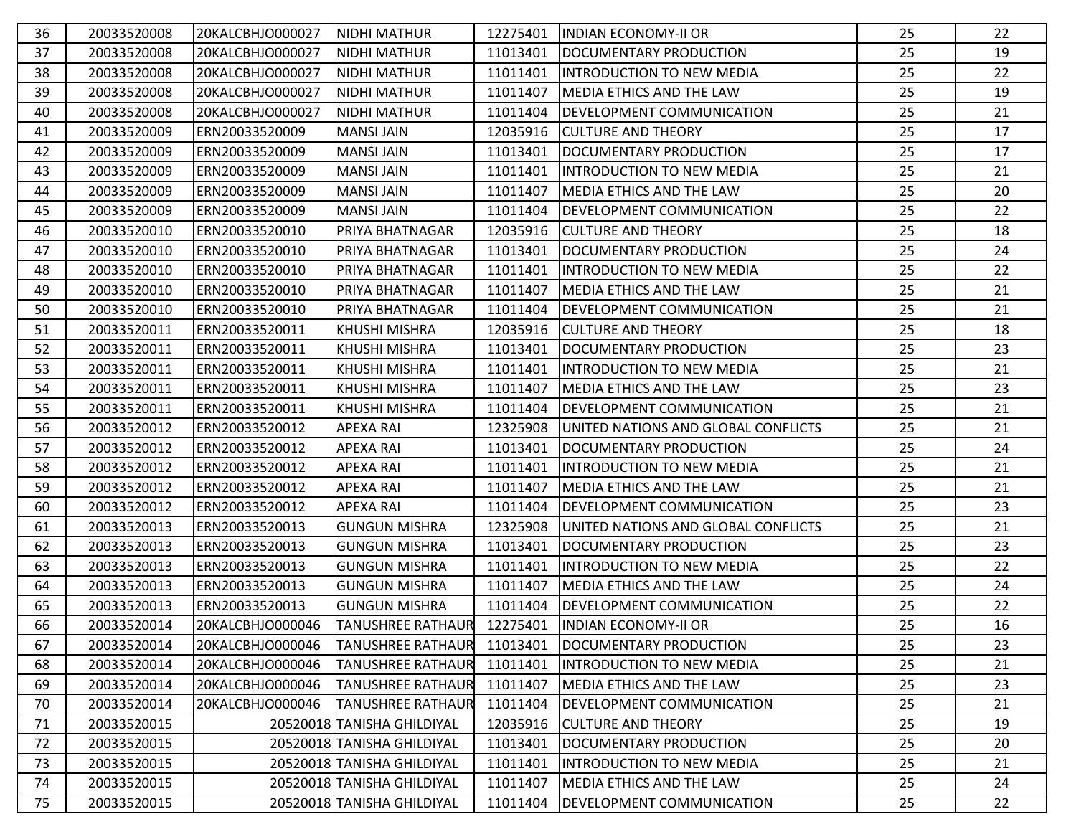| 36 | 20033520008 | 20KALCBHJO000027 | <b>NIDHI MATHUR</b>        | 12275401 | <b>INDIAN ECONOMY-II OR</b>         | 25 | 22 |
|----|-------------|------------------|----------------------------|----------|-------------------------------------|----|----|
| 37 | 20033520008 | 20KALCBHJO000027 | <b>INIDHI MATHUR</b>       | 11013401 | DOCUMENTARY PRODUCTION              | 25 | 19 |
| 38 | 20033520008 | 20KALCBHJO000027 | NIDHI MATHUR               | 11011401 | INTRODUCTION TO NEW MEDIA           | 25 | 22 |
| 39 | 20033520008 | 20KALCBHJO000027 | <b>NIDHI MATHUR</b>        | 11011407 | <b>IMEDIA ETHICS AND THE LAW</b>    | 25 | 19 |
| 40 | 20033520008 | 20KALCBHJO000027 | INIDHI MATHUR              | 11011404 | DEVELOPMENT COMMUNICATION           | 25 | 21 |
| 41 | 20033520009 | ERN20033520009   | <b>MANSI JAIN</b>          | 12035916 | <b>CULTURE AND THEORY</b>           | 25 | 17 |
| 42 | 20033520009 | ERN20033520009   | <b>MANSI JAIN</b>          | 11013401 | DOCUMENTARY PRODUCTION              | 25 | 17 |
| 43 | 20033520009 | ERN20033520009   | <b>MANSI JAIN</b>          | 11011401 | <b>INTRODUCTION TO NEW MEDIA</b>    | 25 | 21 |
| 44 | 20033520009 | ERN20033520009   | <b>MANSI JAIN</b>          | 11011407 | <b>IMEDIA ETHICS AND THE LAW</b>    | 25 | 20 |
| 45 | 20033520009 | ERN20033520009   | <b>MANSI JAIN</b>          | 11011404 | <b>DEVELOPMENT COMMUNICATION</b>    | 25 | 22 |
| 46 | 20033520010 | ERN20033520010   | PRIYA BHATNAGAR            | 12035916 | <b>CULTURE AND THEORY</b>           | 25 | 18 |
| 47 | 20033520010 | ERN20033520010   | PRIYA BHATNAGAR            | 11013401 | DOCUMENTARY PRODUCTION              | 25 | 24 |
| 48 | 20033520010 | ERN20033520010   | PRIYA BHATNAGAR            | 11011401 | <b>INTRODUCTION TO NEW MEDIA</b>    | 25 | 22 |
| 49 | 20033520010 | ERN20033520010   | PRIYA BHATNAGAR            | 11011407 | MEDIA ETHICS AND THE LAW            | 25 | 21 |
| 50 | 20033520010 | ERN20033520010   | <b>PRIYA BHATNAGAR</b>     | 11011404 | <b>DEVELOPMENT COMMUNICATION</b>    | 25 | 21 |
| 51 | 20033520011 | ERN20033520011   | KHUSHI MISHRA              | 12035916 | <b>CULTURE AND THEORY</b>           | 25 | 18 |
| 52 | 20033520011 | ERN20033520011   | KHUSHI MISHRA              | 11013401 | DOCUMENTARY PRODUCTION              | 25 | 23 |
| 53 | 20033520011 | ERN20033520011   | <b>KHUSHI MISHRA</b>       | 11011401 | <b>INTRODUCTION TO NEW MEDIA</b>    | 25 | 21 |
| 54 | 20033520011 | ERN20033520011   | <b>KHUSHI MISHRA</b>       | 11011407 | MEDIA ETHICS AND THE LAW            | 25 | 23 |
| 55 | 20033520011 | ERN20033520011   | <b>KHUSHI MISHRA</b>       | 11011404 | <b>DEVELOPMENT COMMUNICATION</b>    | 25 | 21 |
| 56 | 20033520012 | ERN20033520012   | <b>APEXA RAI</b>           | 12325908 | UNITED NATIONS AND GLOBAL CONFLICTS | 25 | 21 |
| 57 | 20033520012 | ERN20033520012   | <b>APEXA RAI</b>           | 11013401 | DOCUMENTARY PRODUCTION              | 25 | 24 |
| 58 | 20033520012 | ERN20033520012   | <b>APEXA RAI</b>           | 11011401 | <b>INTRODUCTION TO NEW MEDIA</b>    | 25 | 21 |
| 59 | 20033520012 | ERN20033520012   | <b>APEXA RAI</b>           | 11011407 | <b>MEDIA ETHICS AND THE LAW</b>     | 25 | 21 |
| 60 | 20033520012 | ERN20033520012   | <b>APEXA RAI</b>           | 11011404 | <b>DEVELOPMENT COMMUNICATION</b>    | 25 | 23 |
| 61 | 20033520013 | ERN20033520013   | <b>GUNGUN MISHRA</b>       | 12325908 | UNITED NATIONS AND GLOBAL CONFLICTS | 25 | 21 |
| 62 | 20033520013 | ERN20033520013   | <b>GUNGUN MISHRA</b>       | 11013401 | <b>DOCUMENTARY PRODUCTION</b>       | 25 | 23 |
| 63 | 20033520013 | ERN20033520013   | <b>GUNGUN MISHRA</b>       | 11011401 | <b>IINTRODUCTION TO NEW MEDIA</b>   | 25 | 22 |
| 64 | 20033520013 | ERN20033520013   | <b>GUNGUN MISHRA</b>       | 11011407 | MEDIA ETHICS AND THE LAW            | 25 | 24 |
| 65 | 20033520013 | ERN20033520013   | <b>GUNGUN MISHRA</b>       | 11011404 | <b>DEVELOPMENT COMMUNICATION</b>    | 25 | 22 |
| 66 | 20033520014 | 20KALCBHJO000046 | <b>TANUSHREE RATHAUR</b>   |          | 12275401  INDIAN ECONOMY-II OR      | 25 | 16 |
| 67 | 20033520014 | 20KALCBHJO000046 | <b>TANUSHREE RATHAUR</b>   | 11013401 | DOCUMENTARY PRODUCTION              | 25 | 23 |
| 68 | 20033520014 | 20KALCBHJO000046 | <b>TANUSHREE RATHAUR</b>   | 11011401 | <b>INTRODUCTION TO NEW MEDIA</b>    | 25 | 21 |
| 69 | 20033520014 | 20KALCBHJO000046 | <b>TANUSHREE RATHAUR</b>   | 11011407 | MEDIA ETHICS AND THE LAW            | 25 | 23 |
| 70 | 20033520014 | 20KALCBHJO000046 | <b>TANUSHREE RATHAUR</b>   | 11011404 | <b>DEVELOPMENT COMMUNICATION</b>    | 25 | 21 |
| 71 | 20033520015 |                  | 20520018 TANISHA GHILDIYAL | 12035916 | <b>CULTURE AND THEORY</b>           | 25 | 19 |
| 72 | 20033520015 |                  | 20520018 TANISHA GHILDIYAL | 11013401 | DOCUMENTARY PRODUCTION              | 25 | 20 |
| 73 | 20033520015 |                  | 20520018 TANISHA GHILDIYAL | 11011401 | <b>INTRODUCTION TO NEW MEDIA</b>    | 25 | 21 |
| 74 | 20033520015 |                  | 20520018 TANISHA GHILDIYAL | 11011407 | MEDIA ETHICS AND THE LAW            | 25 | 24 |
| 75 | 20033520015 |                  | 20520018 TANISHA GHILDIYAL | 11011404 | <b>DEVELOPMENT COMMUNICATION</b>    | 25 | 22 |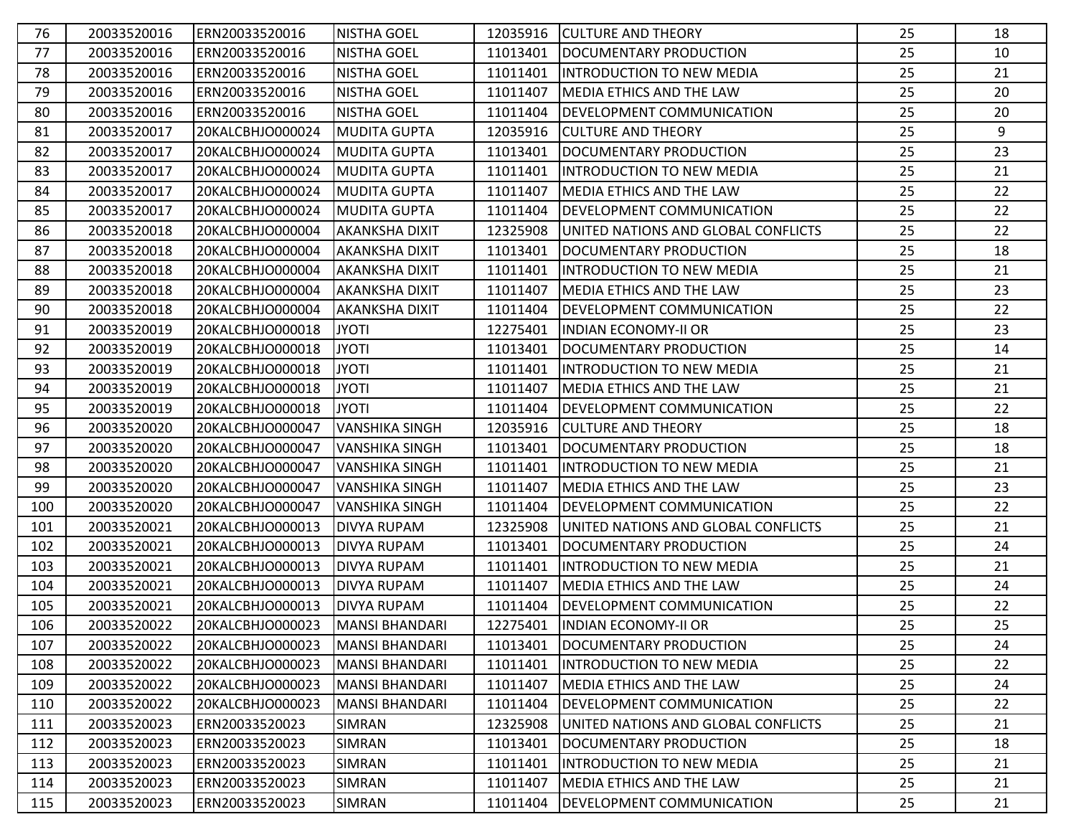| 76  | 20033520016 | ERN20033520016   | <b>NISTHA GOEL</b>    | 12035916 | <b>CULTURE AND THEORY</b>           | 25 | 18 |
|-----|-------------|------------------|-----------------------|----------|-------------------------------------|----|----|
| 77  | 20033520016 | ERN20033520016   | <b>NISTHA GOEL</b>    | 11013401 | DOCUMENTARY PRODUCTION              | 25 | 10 |
| 78  | 20033520016 | ERN20033520016   | <b>NISTHA GOEL</b>    | 11011401 | IINTRODUCTION TO NEW MEDIA          | 25 | 21 |
| 79  | 20033520016 | ERN20033520016   | <b>NISTHA GOEL</b>    | 11011407 | <b>MEDIA ETHICS AND THE LAW</b>     | 25 | 20 |
| 80  | 20033520016 | ERN20033520016   | <b>NISTHA GOEL</b>    | 11011404 | <b>DEVELOPMENT COMMUNICATION</b>    | 25 | 20 |
| 81  | 20033520017 | 20KALCBHJO000024 | <b>MUDITA GUPTA</b>   | 12035916 | <b>CULTURE AND THEORY</b>           | 25 | 9  |
| 82  | 20033520017 | 20KALCBHJO000024 | <b>MUDITA GUPTA</b>   | 11013401 | DOCUMENTARY PRODUCTION              | 25 | 23 |
| 83  | 20033520017 | 20KALCBHJO000024 | MUDITA GUPTA          | 11011401 | INTRODUCTION TO NEW MEDIA           | 25 | 21 |
| 84  | 20033520017 | 20KALCBHJO000024 | MUDITA GUPTA          | 11011407 | <b>MEDIA ETHICS AND THE LAW</b>     | 25 | 22 |
| 85  | 20033520017 | 20KALCBHJO000024 | IMUDITA GUPTA         | 11011404 | <b>DEVELOPMENT COMMUNICATION</b>    | 25 | 22 |
| 86  | 20033520018 | 20KALCBHJO000004 | <b>AKANKSHA DIXIT</b> | 12325908 | UNITED NATIONS AND GLOBAL CONFLICTS | 25 | 22 |
| 87  | 20033520018 | 20KALCBHJO000004 | <b>AKANKSHA DIXIT</b> | 11013401 | DOCUMENTARY PRODUCTION              | 25 | 18 |
| 88  | 20033520018 | 20KALCBHJO000004 | <b>AKANKSHA DIXIT</b> | 11011401 | <b>INTRODUCTION TO NEW MEDIA</b>    | 25 | 21 |
| 89  | 20033520018 | 20KALCBHJO000004 | AKANKSHA DIXIT        | 11011407 | <b>IMEDIA ETHICS AND THE LAW</b>    | 25 | 23 |
| 90  | 20033520018 | 20KALCBHJO000004 | <b>AKANKSHA DIXIT</b> | 11011404 | DEVELOPMENT COMMUNICATION           | 25 | 22 |
| 91  | 20033520019 | 20KALCBHJO000018 | <b>JYOTI</b>          | 12275401 | <b>INDIAN ECONOMY-II OR</b>         | 25 | 23 |
| 92  | 20033520019 | 20KALCBHJO000018 | <b>JYOTI</b>          | 11013401 | DOCUMENTARY PRODUCTION              | 25 | 14 |
| 93  | 20033520019 | 20KALCBHJO000018 | <b>JYOTI</b>          | 11011401 | <b>INTRODUCTION TO NEW MEDIA</b>    | 25 | 21 |
| 94  | 20033520019 | 20KALCBHJO000018 | <b>JYOTI</b>          | 11011407 | <b>IMEDIA ETHICS AND THE LAW</b>    | 25 | 21 |
| 95  | 20033520019 | 20KALCBHJO000018 | <b>JYOTI</b>          | 11011404 | <b>DEVELOPMENT COMMUNICATION</b>    | 25 | 22 |
| 96  | 20033520020 | 20KALCBHJO000047 | <b>VANSHIKA SINGH</b> | 12035916 | <b>CULTURE AND THEORY</b>           | 25 | 18 |
| 97  | 20033520020 | 20KALCBHJO000047 | <b>VANSHIKA SINGH</b> | 11013401 | DOCUMENTARY PRODUCTION              | 25 | 18 |
| 98  | 20033520020 | 20KALCBHJO000047 | <b>VANSHIKA SINGH</b> | 11011401 | <b>INTRODUCTION TO NEW MEDIA</b>    | 25 | 21 |
| 99  | 20033520020 | 20KALCBHJO000047 | <b>VANSHIKA SINGH</b> | 11011407 | <b>MEDIA ETHICS AND THE LAW</b>     | 25 | 23 |
| 100 | 20033520020 | 20KALCBHJO000047 | <b>VANSHIKA SINGH</b> | 11011404 | <b>DEVELOPMENT COMMUNICATION</b>    | 25 | 22 |
| 101 | 20033520021 | 20KALCBHJO000013 | <b>DIVYA RUPAM</b>    | 12325908 | UNITED NATIONS AND GLOBAL CONFLICTS | 25 | 21 |
| 102 | 20033520021 | 20KALCBHJO000013 | <b>DIVYA RUPAM</b>    | 11013401 | DOCUMENTARY PRODUCTION              | 25 | 24 |
| 103 | 20033520021 | 20KALCBHJO000013 | <b>DIVYA RUPAM</b>    | 11011401 | INTRODUCTION TO NEW MEDIA           | 25 | 21 |
| 104 | 20033520021 | 20KALCBHJO000013 | <b>DIVYA RUPAM</b>    | 11011407 | <b>MEDIA ETHICS AND THE LAW</b>     | 25 | 24 |
| 105 | 20033520021 | 20KALCBHJO000013 | <b>DIVYA RUPAM</b>    | 11011404 | <b>DEVELOPMENT COMMUNICATION</b>    | 25 | 22 |
| 106 | 20033520022 | 20KALCBHJO000023 | <b>MANSI BHANDARI</b> |          | 12275401  INDIAN ECONOMY-II OR      | 25 | 25 |
| 107 | 20033520022 | 20KALCBHJO000023 | MANSI BHANDARI        | 11013401 | DOCUMENTARY PRODUCTION              | 25 | 24 |
| 108 | 20033520022 | 20KALCBHJO000023 | MANSI BHANDARI        | 11011401 | <b>INTRODUCTION TO NEW MEDIA</b>    | 25 | 22 |
| 109 | 20033520022 | 20KALCBHJO000023 | MANSI BHANDARI        | 11011407 | MEDIA ETHICS AND THE LAW            | 25 | 24 |
| 110 | 20033520022 | 20KALCBHJO000023 | MANSI BHANDARI        | 11011404 | <b>DEVELOPMENT COMMUNICATION</b>    | 25 | 22 |
| 111 | 20033520023 | ERN20033520023   | <b>SIMRAN</b>         | 12325908 | UNITED NATIONS AND GLOBAL CONFLICTS | 25 | 21 |
| 112 | 20033520023 | ERN20033520023   | SIMRAN                | 11013401 | DOCUMENTARY PRODUCTION              | 25 | 18 |
| 113 | 20033520023 | ERN20033520023   | SIMRAN                | 11011401 | INTRODUCTION TO NEW MEDIA           | 25 | 21 |
| 114 | 20033520023 | ERN20033520023   | SIMRAN                | 11011407 | MEDIA ETHICS AND THE LAW            | 25 | 21 |
| 115 | 20033520023 | ERN20033520023   | SIMRAN                | 11011404 | <b>DEVELOPMENT COMMUNICATION</b>    | 25 | 21 |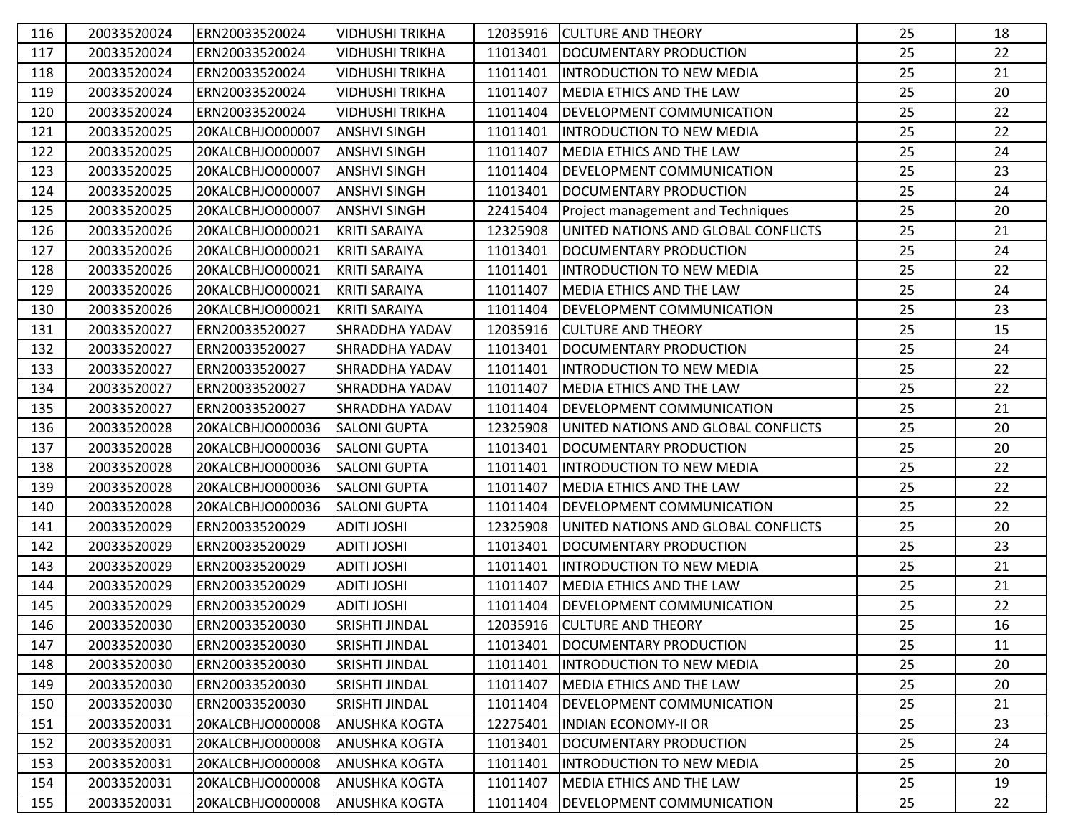| 116 | 20033520024 | ERN20033520024   | <b>VIDHUSHI TRIKHA</b> | 12035916 | <b>CULTURE AND THEORY</b>                | 25 | 18 |
|-----|-------------|------------------|------------------------|----------|------------------------------------------|----|----|
| 117 | 20033520024 | ERN20033520024   | <b>VIDHUSHI TRIKHA</b> | 11013401 | DOCUMENTARY PRODUCTION                   | 25 | 22 |
| 118 | 20033520024 | ERN20033520024   | <b>VIDHUSHI TRIKHA</b> | 11011401 | <b>INTRODUCTION TO NEW MEDIA</b>         | 25 | 21 |
| 119 | 20033520024 | ERN20033520024   | <b>VIDHUSHI TRIKHA</b> | 11011407 | <b>MEDIA ETHICS AND THE LAW</b>          | 25 | 20 |
| 120 | 20033520024 | ERN20033520024   | <b>VIDHUSHI TRIKHA</b> | 11011404 | <b>DEVELOPMENT COMMUNICATION</b>         | 25 | 22 |
| 121 | 20033520025 | 20KALCBHJO000007 | <b>ANSHVI SINGH</b>    | 11011401 | <b>INTRODUCTION TO NEW MEDIA</b>         | 25 | 22 |
| 122 | 20033520025 | 20KALCBHJO000007 | <b>ANSHVI SINGH</b>    | 11011407 | <b>MEDIA ETHICS AND THE LAW</b>          | 25 | 24 |
| 123 | 20033520025 | 20KALCBHJO000007 | <b>ANSHVI SINGH</b>    | 11011404 | <b>DEVELOPMENT COMMUNICATION</b>         | 25 | 23 |
| 124 | 20033520025 | 20KALCBHJO000007 | <b>ANSHVI SINGH</b>    | 11013401 | DOCUMENTARY PRODUCTION                   | 25 | 24 |
| 125 | 20033520025 | 20KALCBHJO000007 | <b>ANSHVI SINGH</b>    | 22415404 | <b>Project management and Techniques</b> | 25 | 20 |
| 126 | 20033520026 | 20KALCBHJO000021 | <b>KRITI SARAIYA</b>   | 12325908 | UNITED NATIONS AND GLOBAL CONFLICTS      | 25 | 21 |
| 127 | 20033520026 | 20KALCBHJO000021 | <b>KRITI SARAIYA</b>   | 11013401 | DOCUMENTARY PRODUCTION                   | 25 | 24 |
| 128 | 20033520026 | 20KALCBHJO000021 | <b>KRITI SARAIYA</b>   | 11011401 | <b>INTRODUCTION TO NEW MEDIA</b>         | 25 | 22 |
| 129 | 20033520026 | 20KALCBHJO000021 | KRITI SARAIYA          | 11011407 | <b>MEDIA ETHICS AND THE LAW</b>          | 25 | 24 |
| 130 | 20033520026 | 20KALCBHJO000021 | <b>KRITI SARAIYA</b>   | 11011404 | <b>DEVELOPMENT COMMUNICATION</b>         | 25 | 23 |
| 131 | 20033520027 | ERN20033520027   | SHRADDHA YADAV         | 12035916 | <b>CULTURE AND THEORY</b>                | 25 | 15 |
| 132 | 20033520027 | ERN20033520027   | SHRADDHA YADAV         | 11013401 | DOCUMENTARY PRODUCTION                   | 25 | 24 |
| 133 | 20033520027 | ERN20033520027   | SHRADDHA YADAV         | 11011401 | INTRODUCTION TO NEW MEDIA                | 25 | 22 |
| 134 | 20033520027 | ERN20033520027   | SHRADDHA YADAV         | 11011407 | MEDIA ETHICS AND THE LAW                 | 25 | 22 |
| 135 | 20033520027 | ERN20033520027   | SHRADDHA YADAV         | 11011404 | <b>DEVELOPMENT COMMUNICATION</b>         | 25 | 21 |
| 136 | 20033520028 | 20KALCBHJO000036 | <b>SALONI GUPTA</b>    | 12325908 | UNITED NATIONS AND GLOBAL CONFLICTS      | 25 | 20 |
| 137 | 20033520028 | 20KALCBHJO000036 | <b>SALONI GUPTA</b>    | 11013401 | DOCUMENTARY PRODUCTION                   | 25 | 20 |
| 138 | 20033520028 | 20KALCBHJO000036 | <b>SALONI GUPTA</b>    | 11011401 | IINTRODUCTION TO NEW MEDIA               | 25 | 22 |
| 139 | 20033520028 | 20KALCBHJO000036 | <b>SALONI GUPTA</b>    | 11011407 | <b>MEDIA ETHICS AND THE LAW</b>          | 25 | 22 |
| 140 | 20033520028 | 20KALCBHJO000036 | <b>SALONI GUPTA</b>    | 11011404 | <b>DEVELOPMENT COMMUNICATION</b>         | 25 | 22 |
| 141 | 20033520029 | ERN20033520029   | <b>ADITI JOSHI</b>     | 12325908 | UNITED NATIONS AND GLOBAL CONFLICTS      | 25 | 20 |
| 142 | 20033520029 | ERN20033520029   | <b>ADITI JOSHI</b>     | 11013401 | DOCUMENTARY PRODUCTION                   | 25 | 23 |
| 143 | 20033520029 | ERN20033520029   | <b>ADITI JOSHI</b>     | 11011401 | <b>INTRODUCTION TO NEW MEDIA</b>         | 25 | 21 |
| 144 | 20033520029 | ERN20033520029   | <b>ADITI JOSHI</b>     | 11011407 | <b>MEDIA ETHICS AND THE LAW</b>          | 25 | 21 |
| 145 | 20033520029 | ERN20033520029   | <b>ADITI JOSHI</b>     | 11011404 | <b>DEVELOPMENT COMMUNICATION</b>         | 25 | 22 |
| 146 | 20033520030 | ERN20033520030   | <b>SRISHTI JINDAL</b>  | 12035916 | <b>CULTURE AND THEORY</b>                | 25 | 16 |
| 147 | 20033520030 | ERN20033520030   | SRISHTI JINDAL         | 11013401 | DOCUMENTARY PRODUCTION                   | 25 | 11 |
| 148 | 20033520030 | ERN20033520030   | SRISHTI JINDAL         | 11011401 | <b>INTRODUCTION TO NEW MEDIA</b>         | 25 | 20 |
| 149 | 20033520030 | ERN20033520030   | SRISHTI JINDAL         | 11011407 | <b>MEDIA ETHICS AND THE LAW</b>          | 25 | 20 |
| 150 | 20033520030 | ERN20033520030   | SRISHTI JINDAL         | 11011404 | <b>DEVELOPMENT COMMUNICATION</b>         | 25 | 21 |
| 151 | 20033520031 | 20KALCBHJO000008 | <b>ANUSHKA KOGTA</b>   | 12275401 | <b>INDIAN ECONOMY-II OR</b>              | 25 | 23 |
| 152 | 20033520031 | 20KALCBHJO000008 | <b>ANUSHKA KOGTA</b>   | 11013401 | DOCUMENTARY PRODUCTION                   | 25 | 24 |
| 153 | 20033520031 | 20KALCBHJO000008 | <b>ANUSHKA KOGTA</b>   | 11011401 | <b>INTRODUCTION TO NEW MEDIA</b>         | 25 | 20 |
| 154 | 20033520031 | 20KALCBHJO000008 | <b>ANUSHKA KOGTA</b>   | 11011407 | MEDIA ETHICS AND THE LAW                 | 25 | 19 |
| 155 | 20033520031 | 20KALCBHJO000008 | <b>ANUSHKA KOGTA</b>   | 11011404 | <b>DEVELOPMENT COMMUNICATION</b>         | 25 | 22 |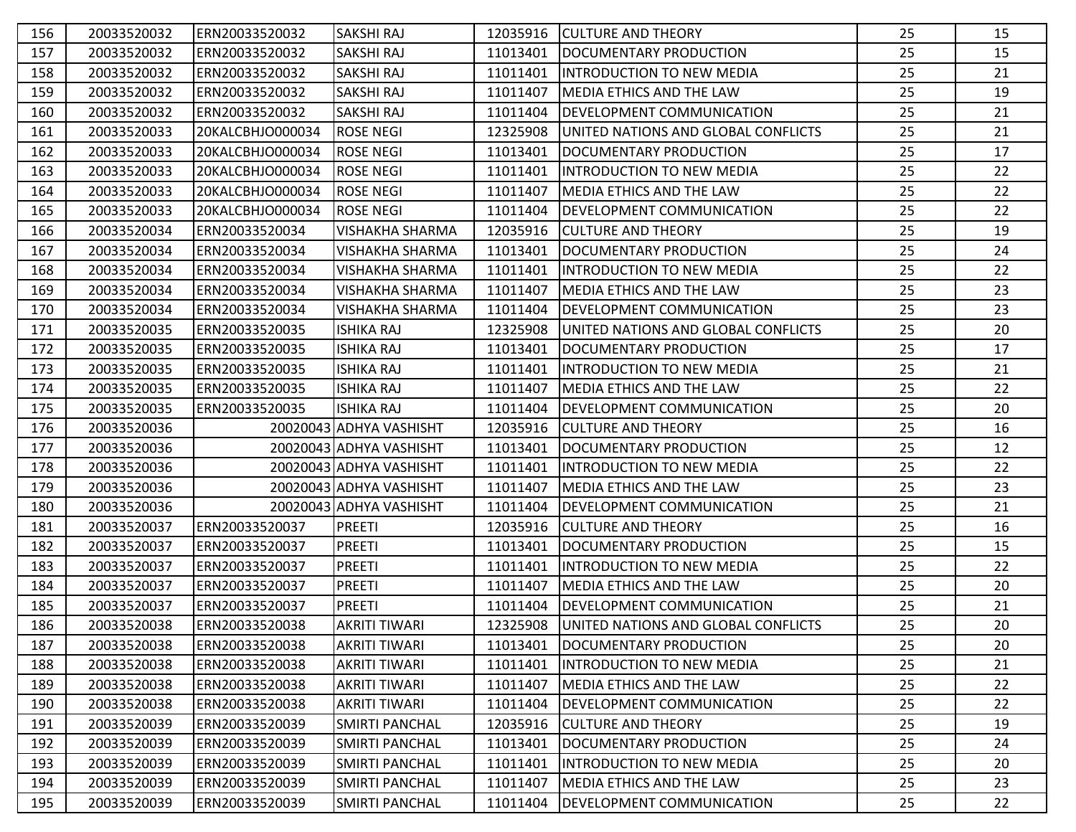| 156 | 20033520032 | ERN20033520032   | <b>SAKSHI RAJ</b>       | 12035916 | <b>CULTURE AND THEORY</b>           | 25 | 15 |
|-----|-------------|------------------|-------------------------|----------|-------------------------------------|----|----|
| 157 | 20033520032 | ERN20033520032   | SAKSHI RAJ              | 11013401 | DOCUMENTARY PRODUCTION              | 25 | 15 |
| 158 | 20033520032 | ERN20033520032   | SAKSHI RAJ              | 11011401 | IINTRODUCTION TO NEW MEDIA          | 25 | 21 |
| 159 | 20033520032 | ERN20033520032   | SAKSHI RAJ              | 11011407 | <b>MEDIA ETHICS AND THE LAW</b>     | 25 | 19 |
| 160 | 20033520032 | ERN20033520032   | SAKSHI RAJ              | 11011404 | <b>DEVELOPMENT COMMUNICATION</b>    | 25 | 21 |
| 161 | 20033520033 | 20KALCBHJO000034 | <b>ROSE NEGI</b>        | 12325908 | UNITED NATIONS AND GLOBAL CONFLICTS | 25 | 21 |
| 162 | 20033520033 | 20KALCBHJO000034 | <b>ROSE NEGI</b>        | 11013401 | DOCUMENTARY PRODUCTION              | 25 | 17 |
| 163 | 20033520033 | 20KALCBHJO000034 | <b>ROSE NEGI</b>        | 11011401 | INTRODUCTION TO NEW MEDIA           | 25 | 22 |
| 164 | 20033520033 | 20KALCBHJO000034 | <b>ROSE NEGI</b>        | 11011407 | <b>IMEDIA ETHICS AND THE LAW</b>    | 25 | 22 |
| 165 | 20033520033 | 20KALCBHJO000034 | <b>ROSE NEGI</b>        | 11011404 | DEVELOPMENT COMMUNICATION           | 25 | 22 |
| 166 | 20033520034 | ERN20033520034   | <b>VISHAKHA SHARMA</b>  | 12035916 | <b>CULTURE AND THEORY</b>           | 25 | 19 |
| 167 | 20033520034 | ERN20033520034   | <b>VISHAKHA SHARMA</b>  | 11013401 | DOCUMENTARY PRODUCTION              | 25 | 24 |
| 168 | 20033520034 | ERN20033520034   | <b>VISHAKHA SHARMA</b>  | 11011401 | <b>INTRODUCTION TO NEW MEDIA</b>    | 25 | 22 |
| 169 | 20033520034 | ERN20033520034   | <b>VISHAKHA SHARMA</b>  | 11011407 | <b>MEDIA ETHICS AND THE LAW</b>     | 25 | 23 |
| 170 | 20033520034 | ERN20033520034   | <b>VISHAKHA SHARMA</b>  | 11011404 | <b>DEVELOPMENT COMMUNICATION</b>    | 25 | 23 |
| 171 | 20033520035 | ERN20033520035   | <b>ISHIKA RAJ</b>       | 12325908 | UNITED NATIONS AND GLOBAL CONFLICTS | 25 | 20 |
| 172 | 20033520035 | ERN20033520035   | <b>ISHIKA RAJ</b>       | 11013401 | DOCUMENTARY PRODUCTION              | 25 | 17 |
| 173 | 20033520035 | ERN20033520035   | <b>ISHIKA RAJ</b>       | 11011401 | <b>INTRODUCTION TO NEW MEDIA</b>    | 25 | 21 |
| 174 | 20033520035 | ERN20033520035   | <b>ISHIKA RAJ</b>       | 11011407 | MEDIA ETHICS AND THE LAW            | 25 | 22 |
| 175 | 20033520035 | ERN20033520035   | <b>ISHIKA RAJ</b>       | 11011404 | DEVELOPMENT COMMUNICATION           | 25 | 20 |
| 176 | 20033520036 |                  | 20020043 ADHYA VASHISHT | 12035916 | <b>CULTURE AND THEORY</b>           | 25 | 16 |
| 177 | 20033520036 |                  | 20020043 ADHYA VASHISHT | 11013401 | DOCUMENTARY PRODUCTION              | 25 | 12 |
| 178 | 20033520036 |                  | 20020043 ADHYA VASHISHT | 11011401 | IINTRODUCTION TO NEW MEDIA          | 25 | 22 |
| 179 | 20033520036 |                  | 20020043 ADHYA VASHISHT | 11011407 | <b>MEDIA ETHICS AND THE LAW</b>     | 25 | 23 |
| 180 | 20033520036 |                  | 20020043 ADHYA VASHISHT | 11011404 | DEVELOPMENT COMMUNICATION           | 25 | 21 |
| 181 | 20033520037 | ERN20033520037   | <b>PREETI</b>           | 12035916 | <b>CULTURE AND THEORY</b>           | 25 | 16 |
| 182 | 20033520037 | ERN20033520037   | <b>PREETI</b>           | 11013401 | DOCUMENTARY PRODUCTION              | 25 | 15 |
| 183 | 20033520037 | ERN20033520037   | <b>PREETI</b>           | 11011401 | IINTRODUCTION TO NEW MEDIA          | 25 | 22 |
| 184 | 20033520037 | ERN20033520037   | <b>PREETI</b>           | 11011407 | <b>MEDIA ETHICS AND THE LAW</b>     | 25 | 20 |
| 185 | 20033520037 | ERN20033520037   | <b>PREETI</b>           | 11011404 | DEVELOPMENT COMMUNICATION           | 25 | 21 |
| 186 | 20033520038 | ERN20033520038   | <b>AKRITI TIWARI</b>    | 12325908 | UNITED NATIONS AND GLOBAL CONFLICTS | 25 | 20 |
| 187 | 20033520038 | ERN20033520038   | <b>AKRITI TIWARI</b>    | 11013401 | DOCUMENTARY PRODUCTION              | 25 | 20 |
| 188 | 20033520038 | ERN20033520038   | <b>AKRITI TIWARI</b>    | 11011401 | <b>INTRODUCTION TO NEW MEDIA</b>    | 25 | 21 |
| 189 | 20033520038 | ERN20033520038   | <b>AKRITI TIWARI</b>    | 11011407 | <b>MEDIA ETHICS AND THE LAW</b>     | 25 | 22 |
| 190 | 20033520038 | ERN20033520038   | AKRITI TIWARI           | 11011404 | <b>DEVELOPMENT COMMUNICATION</b>    | 25 | 22 |
| 191 | 20033520039 | ERN20033520039   | SMIRTI PANCHAL          | 12035916 | <b>CULTURE AND THEORY</b>           | 25 | 19 |
| 192 | 20033520039 | ERN20033520039   | SMIRTI PANCHAL          | 11013401 | DOCUMENTARY PRODUCTION              | 25 | 24 |
| 193 | 20033520039 | ERN20033520039   | <b>SMIRTI PANCHAL</b>   | 11011401 | <b>INTRODUCTION TO NEW MEDIA</b>    | 25 | 20 |
| 194 | 20033520039 | ERN20033520039   | <b>SMIRTI PANCHAL</b>   | 11011407 | MEDIA ETHICS AND THE LAW            | 25 | 23 |
| 195 | 20033520039 | ERN20033520039   | <b>SMIRTI PANCHAL</b>   | 11011404 | <b>DEVELOPMENT COMMUNICATION</b>    | 25 | 22 |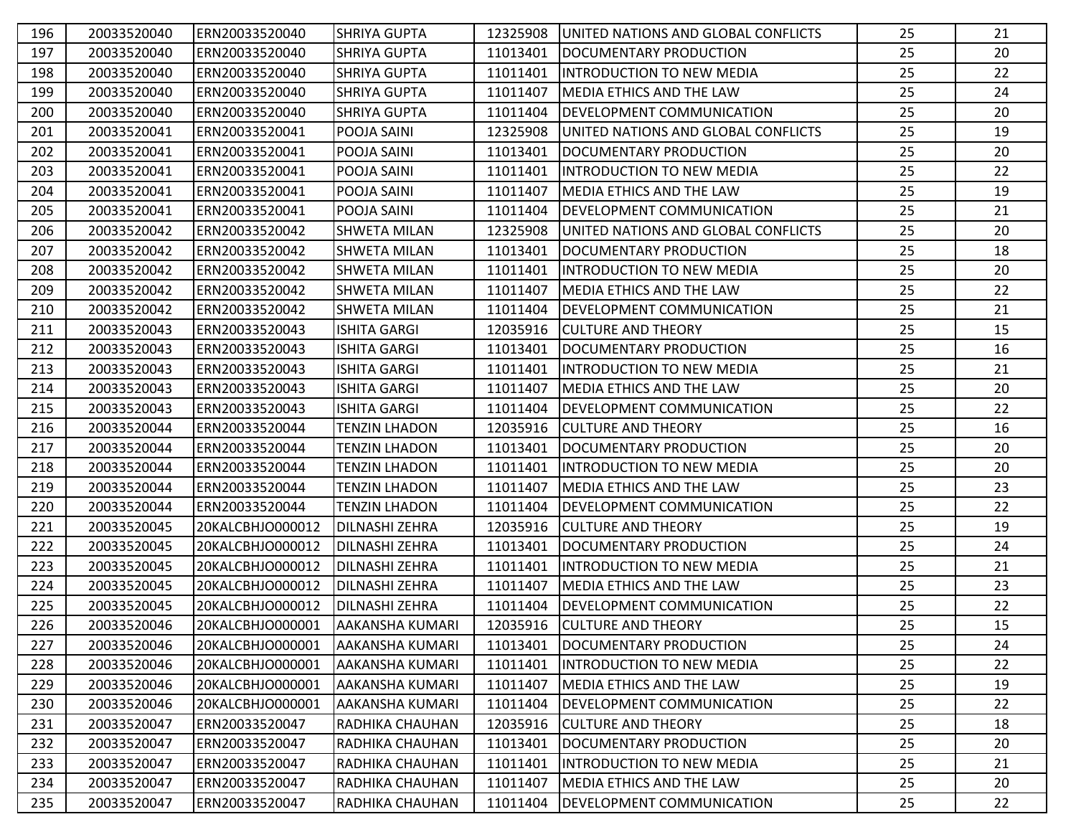| 196 | 20033520040 | ERN20033520040   | ISHRIYA GUPTA          | 12325908 | UNITED NATIONS AND GLOBAL CONFLICTS | 25 | 21 |
|-----|-------------|------------------|------------------------|----------|-------------------------------------|----|----|
| 197 | 20033520040 | ERN20033520040   | SHRIYA GUPTA           | 11013401 | DOCUMENTARY PRODUCTION              | 25 | 20 |
| 198 | 20033520040 | ERN20033520040   | <b>SHRIYA GUPTA</b>    | 11011401 | IINTRODUCTION TO NEW MEDIA          | 25 | 22 |
| 199 | 20033520040 | ERN20033520040   | <b>SHRIYA GUPTA</b>    | 11011407 | <b>MEDIA ETHICS AND THE LAW</b>     | 25 | 24 |
| 200 | 20033520040 | ERN20033520040   | <b>SHRIYA GUPTA</b>    | 11011404 | <b>DEVELOPMENT COMMUNICATION</b>    | 25 | 20 |
| 201 | 20033520041 | ERN20033520041   | POOJA SAINI            | 12325908 | UNITED NATIONS AND GLOBAL CONFLICTS | 25 | 19 |
| 202 | 20033520041 | ERN20033520041   | POOJA SAINI            | 11013401 | DOCUMENTARY PRODUCTION              | 25 | 20 |
| 203 | 20033520041 | ERN20033520041   | POOJA SAINI            | 11011401 | INTRODUCTION TO NEW MEDIA           | 25 | 22 |
| 204 | 20033520041 | ERN20033520041   | POOJA SAINI            | 11011407 | <b>MEDIA ETHICS AND THE LAW</b>     | 25 | 19 |
| 205 | 20033520041 | ERN20033520041   | POOJA SAINI            | 11011404 | <b>DEVELOPMENT COMMUNICATION</b>    | 25 | 21 |
| 206 | 20033520042 | ERN20033520042   | <b>SHWETA MILAN</b>    | 12325908 | UNITED NATIONS AND GLOBAL CONFLICTS | 25 | 20 |
| 207 | 20033520042 | ERN20033520042   | <b>SHWETA MILAN</b>    | 11013401 | DOCUMENTARY PRODUCTION              | 25 | 18 |
| 208 | 20033520042 | ERN20033520042   | SHWETA MILAN           | 11011401 | <b>INTRODUCTION TO NEW MEDIA</b>    | 25 | 20 |
| 209 | 20033520042 | ERN20033520042   | <b>SHWETA MILAN</b>    | 11011407 | <b>MEDIA ETHICS AND THE LAW</b>     | 25 | 22 |
| 210 | 20033520042 | ERN20033520042   | SHWETA MILAN           | 11011404 | DEVELOPMENT COMMUNICATION           | 25 | 21 |
| 211 | 20033520043 | ERN20033520043   | <b>ISHITA GARGI</b>    | 12035916 | <b>CULTURE AND THEORY</b>           | 25 | 15 |
| 212 | 20033520043 | ERN20033520043   | <b>ISHITA GARGI</b>    | 11013401 | DOCUMENTARY PRODUCTION              | 25 | 16 |
| 213 | 20033520043 | ERN20033520043   | <b>ISHITA GARGI</b>    | 11011401 | IINTRODUCTION TO NEW MEDIA          | 25 | 21 |
| 214 | 20033520043 | ERN20033520043   | <b>ISHITA GARGI</b>    | 11011407 | <b>MEDIA ETHICS AND THE LAW</b>     | 25 | 20 |
| 215 | 20033520043 | ERN20033520043   | <b>ISHITA GARGI</b>    | 11011404 | DEVELOPMENT COMMUNICATION           | 25 | 22 |
| 216 | 20033520044 | ERN20033520044   | <b>TENZIN LHADON</b>   | 12035916 | <b>CULTURE AND THEORY</b>           | 25 | 16 |
| 217 | 20033520044 | ERN20033520044   | <b>TENZIN LHADON</b>   | 11013401 | DOCUMENTARY PRODUCTION              | 25 | 20 |
| 218 | 20033520044 | ERN20033520044   | <b>TENZIN LHADON</b>   | 11011401 | IINTRODUCTION TO NEW MEDIA          | 25 | 20 |
| 219 | 20033520044 | ERN20033520044   | <b>TENZIN LHADON</b>   | 11011407 | <b>MEDIA ETHICS AND THE LAW</b>     | 25 | 23 |
| 220 | 20033520044 | ERN20033520044   | <b>TENZIN LHADON</b>   | 11011404 | DEVELOPMENT COMMUNICATION           | 25 | 22 |
| 221 | 20033520045 | 20KALCBHJO000012 | <b>DILNASHI ZEHRA</b>  | 12035916 | <b>CULTURE AND THEORY</b>           | 25 | 19 |
| 222 | 20033520045 | 20KALCBHJO000012 | <b>DILNASHI ZEHRA</b>  | 11013401 | DOCUMENTARY PRODUCTION              | 25 | 24 |
| 223 | 20033520045 | 20KALCBHJO000012 | <b>DILNASHI ZEHRA</b>  | 11011401 | INTRODUCTION TO NEW MEDIA           | 25 | 21 |
| 224 | 20033520045 | 20KALCBHJO000012 | <b>DILNASHI ZEHRA</b>  | 11011407 | <b>MEDIA ETHICS AND THE LAW</b>     | 25 | 23 |
| 225 | 20033520045 | 20KALCBHJO000012 | <b>DILNASHI ZEHRA</b>  | 11011404 | DEVELOPMENT COMMUNICATION           | 25 | 22 |
| 226 | 20033520046 | 20KALCBHJO000001 | <b>AAKANSHA KUMARI</b> | 12035916 | <b>CULTURE AND THEORY</b>           | 25 | 15 |
| 227 | 20033520046 | 20KALCBHJO000001 | <b>AAKANSHA KUMARI</b> | 11013401 | DOCUMENTARY PRODUCTION              | 25 | 24 |
| 228 | 20033520046 | 20KALCBHJO000001 | AAKANSHA KUMARI        | 11011401 | <b>INTRODUCTION TO NEW MEDIA</b>    | 25 | 22 |
| 229 | 20033520046 | 20KALCBHJO000001 | AAKANSHA KUMARI        | 11011407 | <b>MEDIA ETHICS AND THE LAW</b>     | 25 | 19 |
| 230 | 20033520046 | 20KALCBHJO000001 | AAKANSHA KUMARI        | 11011404 | DEVELOPMENT COMMUNICATION           | 25 | 22 |
| 231 | 20033520047 | ERN20033520047   | RADHIKA CHAUHAN        | 12035916 | <b>CULTURE AND THEORY</b>           | 25 | 18 |
| 232 | 20033520047 | ERN20033520047   | RADHIKA CHAUHAN        | 11013401 | <b>DOCUMENTARY PRODUCTION</b>       | 25 | 20 |
| 233 | 20033520047 | ERN20033520047   | RADHIKA CHAUHAN        | 11011401 | <b>INTRODUCTION TO NEW MEDIA</b>    | 25 | 21 |
| 234 | 20033520047 | ERN20033520047   | RADHIKA CHAUHAN        | 11011407 | MEDIA ETHICS AND THE LAW            | 25 | 20 |
| 235 | 20033520047 | ERN20033520047   | RADHIKA CHAUHAN        | 11011404 | <b>DEVELOPMENT COMMUNICATION</b>    | 25 | 22 |